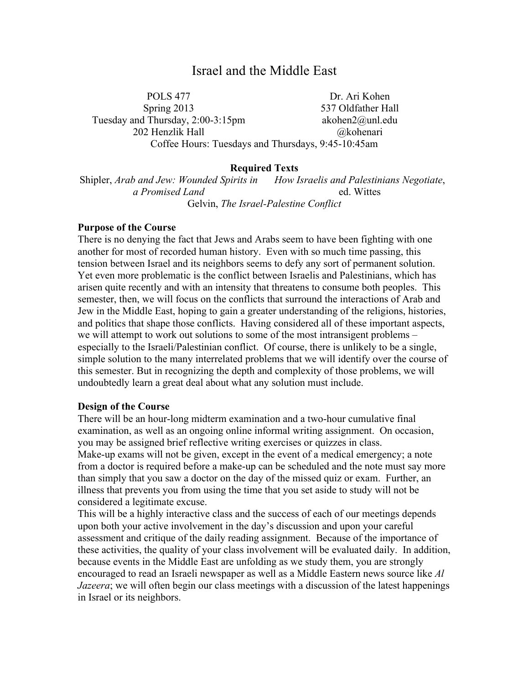# Israel and the Middle East

POLS 477 Dr. Ari Kohen Spring 2013 537 Oldfather Hall Tuesday and Thursday, 2:00-3:15pm akohen2@unl.edu 202 Henzlik Hall @kohenari Coffee Hours: Tuesdays and Thursdays, 9:45-10:45am

#### **Required Texts**

Shipler, *Arab and Jew: Wounded Spirits in How Israelis and Palestinians Negotiate*, *a Promised Land* ed. Wittes Gelvin, *The Israel-Palestine Conflict*

#### **Purpose of the Course**

There is no denying the fact that Jews and Arabs seem to have been fighting with one another for most of recorded human history. Even with so much time passing, this tension between Israel and its neighbors seems to defy any sort of permanent solution. Yet even more problematic is the conflict between Israelis and Palestinians, which has arisen quite recently and with an intensity that threatens to consume both peoples. This semester, then, we will focus on the conflicts that surround the interactions of Arab and Jew in the Middle East, hoping to gain a greater understanding of the religions, histories, and politics that shape those conflicts. Having considered all of these important aspects, we will attempt to work out solutions to some of the most intransigent problems – especially to the Israeli/Palestinian conflict. Of course, there is unlikely to be a single, simple solution to the many interrelated problems that we will identify over the course of this semester. But in recognizing the depth and complexity of those problems, we will undoubtedly learn a great deal about what any solution must include.

#### **Design of the Course**

There will be an hour-long midterm examination and a two-hour cumulative final examination, as well as an ongoing online informal writing assignment. On occasion, you may be assigned brief reflective writing exercises or quizzes in class. Make-up exams will not be given, except in the event of a medical emergency; a note from a doctor is required before a make-up can be scheduled and the note must say more than simply that you saw a doctor on the day of the missed quiz or exam. Further, an illness that prevents you from using the time that you set aside to study will not be considered a legitimate excuse.

This will be a highly interactive class and the success of each of our meetings depends upon both your active involvement in the day's discussion and upon your careful assessment and critique of the daily reading assignment. Because of the importance of these activities, the quality of your class involvement will be evaluated daily. In addition, because events in the Middle East are unfolding as we study them, you are strongly encouraged to read an Israeli newspaper as well as a Middle Eastern news source like *Al Jazeera*; we will often begin our class meetings with a discussion of the latest happenings in Israel or its neighbors.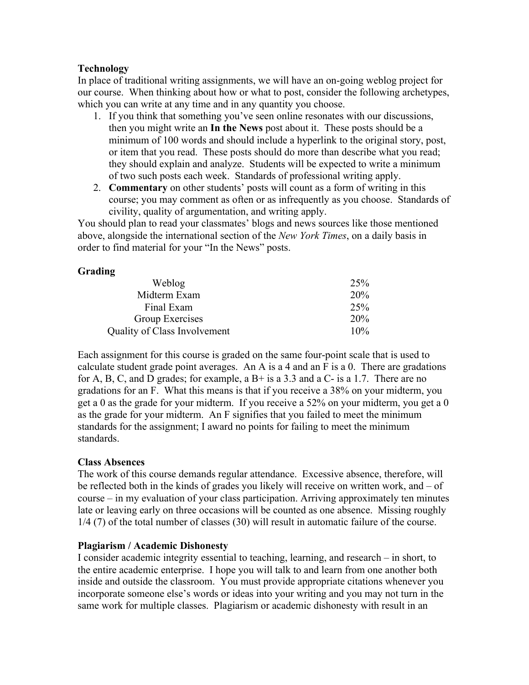## **Technology**

In place of traditional writing assignments, we will have an on-going weblog project for our course. When thinking about how or what to post, consider the following archetypes, which you can write at any time and in any quantity you choose.

- 1. If you think that something you've seen online resonates with our discussions, then you might write an **In the News** post about it. These posts should be a minimum of 100 words and should include a hyperlink to the original story, post, or item that you read. These posts should do more than describe what you read; they should explain and analyze. Students will be expected to write a minimum of two such posts each week. Standards of professional writing apply.
- 2. **Commentary** on other students' posts will count as a form of writing in this course; you may comment as often or as infrequently as you choose. Standards of civility, quality of argumentation, and writing apply.

You should plan to read your classmates' blogs and news sources like those mentioned above, alongside the international section of the *New York Times*, on a daily basis in order to find material for your "In the News" posts.

## **Grading**

| 25%    |
|--------|
| 20%    |
| 25%    |
| 20%    |
| $10\%$ |
|        |

Each assignment for this course is graded on the same four-point scale that is used to calculate student grade point averages. An A is a 4 and an F is a 0. There are gradations for A, B, C, and D grades; for example, a  $B<sup>+</sup>$  is a 3.3 and a C- is a 1.7. There are no gradations for an F. What this means is that if you receive a 38% on your midterm, you get a 0 as the grade for your midterm. If you receive a 52% on your midterm, you get a 0 as the grade for your midterm. An F signifies that you failed to meet the minimum standards for the assignment; I award no points for failing to meet the minimum standards.

## **Class Absences**

The work of this course demands regular attendance. Excessive absence, therefore, will be reflected both in the kinds of grades you likely will receive on written work, and – of course – in my evaluation of your class participation. Arriving approximately ten minutes late or leaving early on three occasions will be counted as one absence. Missing roughly 1/4 (7) of the total number of classes (30) will result in automatic failure of the course.

## **Plagiarism / Academic Dishonesty**

I consider academic integrity essential to teaching, learning, and research – in short, to the entire academic enterprise. I hope you will talk to and learn from one another both inside and outside the classroom. You must provide appropriate citations whenever you incorporate someone else's words or ideas into your writing and you may not turn in the same work for multiple classes. Plagiarism or academic dishonesty with result in an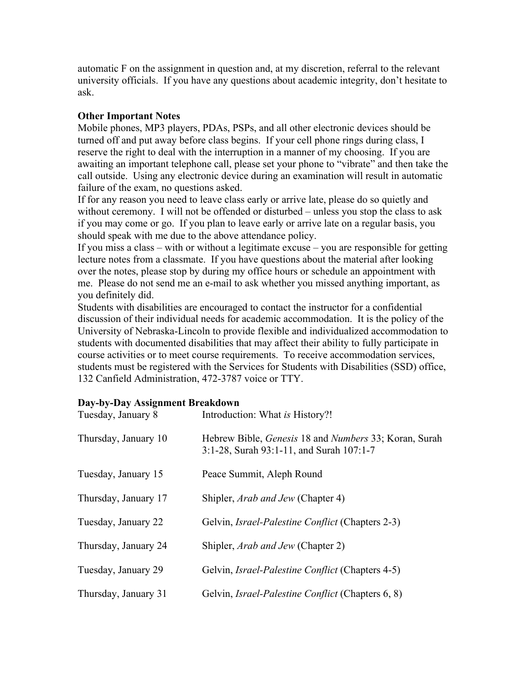automatic F on the assignment in question and, at my discretion, referral to the relevant university officials. If you have any questions about academic integrity, don't hesitate to ask.

### **Other Important Notes**

Mobile phones, MP3 players, PDAs, PSPs, and all other electronic devices should be turned off and put away before class begins. If your cell phone rings during class, I reserve the right to deal with the interruption in a manner of my choosing. If you are awaiting an important telephone call, please set your phone to "vibrate" and then take the call outside. Using any electronic device during an examination will result in automatic failure of the exam, no questions asked.

If for any reason you need to leave class early or arrive late, please do so quietly and without ceremony. I will not be offended or disturbed – unless you stop the class to ask if you may come or go. If you plan to leave early or arrive late on a regular basis, you should speak with me due to the above attendance policy.

If you miss a class – with or without a legitimate excuse – you are responsible for getting lecture notes from a classmate. If you have questions about the material after looking over the notes, please stop by during my office hours or schedule an appointment with me. Please do not send me an e-mail to ask whether you missed anything important, as you definitely did.

Students with disabilities are encouraged to contact the instructor for a confidential discussion of their individual needs for academic accommodation. It is the policy of the University of Nebraska-Lincoln to provide flexible and individualized accommodation to students with documented disabilities that may affect their ability to fully participate in course activities or to meet course requirements. To receive accommodation services, students must be registered with the Services for Students with Disabilities (SSD) office, 132 Canfield Administration, 472-3787 voice or TTY.

| Tuesday, January 8   | Introduction: What is History?!                                                                                 |
|----------------------|-----------------------------------------------------------------------------------------------------------------|
| Thursday, January 10 | Hebrew Bible, <i>Genesis</i> 18 and <i>Numbers</i> 33; Koran, Surah<br>3:1-28, Surah 93:1-11, and Surah 107:1-7 |
| Tuesday, January 15  | Peace Summit, Aleph Round                                                                                       |
| Thursday, January 17 | Shipler, <i>Arab and Jew</i> (Chapter 4)                                                                        |
| Tuesday, January 22  | Gelvin, <i>Israel-Palestine Conflict</i> (Chapters 2-3)                                                         |
| Thursday, January 24 | Shipler, <i>Arab and Jew</i> (Chapter 2)                                                                        |
| Tuesday, January 29  | Gelvin, <i>Israel-Palestine Conflict</i> (Chapters 4-5)                                                         |
| Thursday, January 31 | Gelvin, <i>Israel-Palestine Conflict</i> (Chapters 6, 8)                                                        |

#### **Day-by-Day Assignment Breakdown**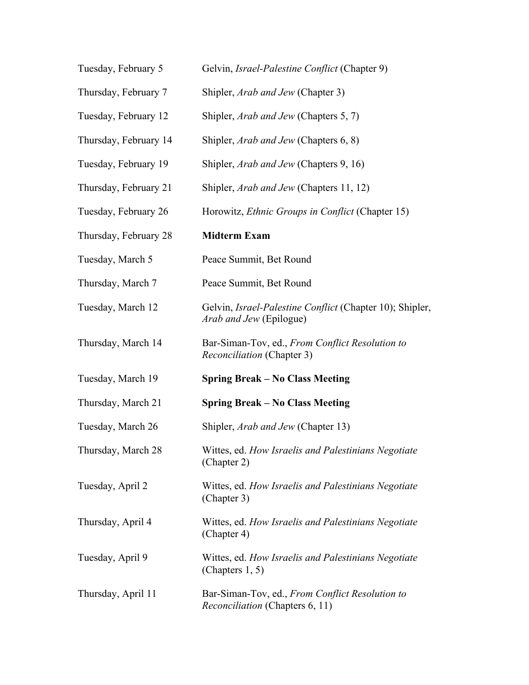| Tuesday, February 5   | Gelvin, Israel-Palestine Conflict (Chapter 9)                                                     |
|-----------------------|---------------------------------------------------------------------------------------------------|
| Thursday, February 7  | Shipler, <i>Arab and Jew</i> (Chapter 3)                                                          |
| Tuesday, February 12  | Shipler, <i>Arab and Jew</i> (Chapters 5, 7)                                                      |
| Thursday, February 14 | Shipler, <i>Arab and Jew</i> (Chapters 6, 8)                                                      |
| Tuesday, February 19  | Shipler, <i>Arab and Jew</i> (Chapters 9, 16)                                                     |
| Thursday, February 21 | Shipler, <i>Arab and Jew</i> (Chapters 11, 12)                                                    |
| Tuesday, February 26  | Horowitz, <i>Ethnic Groups in Conflict</i> (Chapter 15)                                           |
| Thursday, February 28 | <b>Midterm Exam</b>                                                                               |
| Tuesday, March 5      | Peace Summit, Bet Round                                                                           |
| Thursday, March 7     | Peace Summit, Bet Round                                                                           |
| Tuesday, March 12     | Gelvin, <i>Israel-Palestine Conflict</i> (Chapter 10); Shipler,<br><i>Arab and Jew</i> (Epilogue) |
| Thursday, March 14    | Bar-Siman-Tov, ed., From Conflict Resolution to<br><i>Reconciliation</i> (Chapter 3)              |
| Tuesday, March 19     | <b>Spring Break – No Class Meeting</b>                                                            |
| Thursday, March 21    | <b>Spring Break – No Class Meeting</b>                                                            |
| Tuesday, March 26     | Shipler, <i>Arab and Jew</i> (Chapter 13)                                                         |
| Thursday, March 28    | Wittes, ed. How Israelis and Palestinians Negotiate<br>(Chapter 2)                                |
| Tuesday, April 2      | Wittes, ed. How Israelis and Palestinians Negotiate<br>(Chapter 3)                                |
| Thursday, April 4     | Wittes, ed. How Israelis and Palestinians Negotiate<br>(Chapter 4)                                |
| Tuesday, April 9      | Wittes, ed. How Israelis and Palestinians Negotiate<br>(Chapters $1, 5$ )                         |
| Thursday, April 11    | Bar-Siman-Tov, ed., From Conflict Resolution to<br><i>Reconciliation</i> (Chapters 6, 11)         |